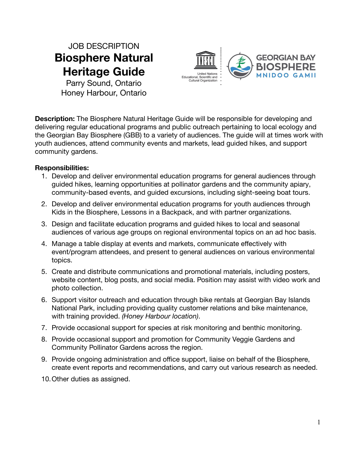JOB DESCRIPTION **Biosphere Natural Heritage Guide**

Parry Sound, Ontario Honey Harbour, Ontario



**Description:** The Biosphere Natural Heritage Guide will be responsible for developing and delivering regular educational programs and public outreach pertaining to local ecology and the Georgian Bay Biosphere (GBB) to a variety of audiences. The guide will at times work with youth audiences, attend community events and markets, lead guided hikes, and support community gardens.

## **Responsibilities:**

- 1. Develop and deliver environmental education programs for general audiences through guided hikes, learning opportunities at pollinator gardens and the community apiary, community-based events, and guided excursions, including sight-seeing boat tours.
- 2. Develop and deliver environmental education programs for youth audiences through Kids in the Biosphere, Lessons in a Backpack, and with partner organizations.
- 3. Design and facilitate education programs and guided hikes to local and seasonal audiences of various age groups on regional environmental topics on an ad hoc basis.
- 4. Manage a table display at events and markets, communicate effectively with event/program attendees, and present to general audiences on various environmental topics.
- 5. Create and distribute communications and promotional materials, including posters, website content, blog posts, and social media. Position may assist with video work and photo collection.
- 6. Support visitor outreach and education through bike rentals at Georgian Bay Islands National Park, including providing quality customer relations and bike maintenance, with training provided. *(Honey Harbour location)*.
- 7. Provide occasional support for species at risk monitoring and benthic monitoring.
- 8. Provide occasional support and promotion for Community Veggie Gardens and Community Pollinator Gardens across the region.
- 9. Provide ongoing administration and office support, liaise on behalf of the Biosphere, create event reports and recommendations, and carry out various research as needed.
- 10.Other duties as assigned.